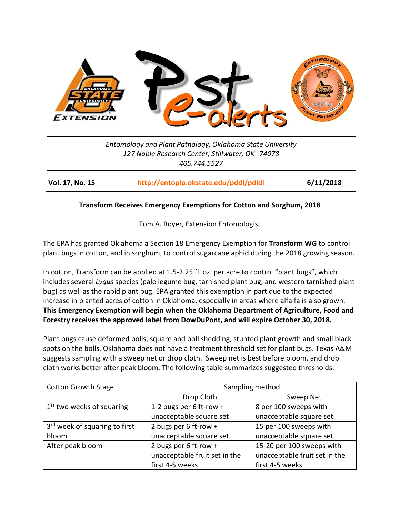

*Entomology and Plant Pathology, Oklahoma State University 127 Noble Research Center, Stillwater, OK 74078 405.744.5527*

**Vol. 17, No. 15 <http://entoplp.okstate.edu/pddl/pdidl> 6/11/2018**

## **Transform Receives Emergency Exemptions for Cotton and Sorghum, 2018**

Tom A. Royer, Extension Entomologist

The EPA has granted Oklahoma a Section 18 Emergency Exemption for **Transform WG** to control plant bugs in cotton, and in sorghum, to control sugarcane aphid during the 2018 growing season.

In cotton, Transform can be applied at 1.5-2.25 fl. oz. per acre to control "plant bugs", which includes several *Lygus* species (pale legume bug, tarnished plant bug, and western tarnished plant bug) as well as the rapid plant bug. EPA granted this exemption in part due to the expected increase in planted acres of cotton in Oklahoma, especially in areas where alfalfa is also grown. **This Emergency Exemption will begin when the Oklahoma Department of Agriculture, Food and Forestry receives the approved label from DowDuPont, and will expire October 30, 2018.**

Plant bugs cause deformed bolls, square and boll shedding, stunted plant growth and small black spots on the bolls. Oklahoma does not have a treatment threshold set for plant bugs. Texas A&M suggests sampling with a sweep net or drop cloth. Sweep net is best before bloom, and drop cloth works better after peak bloom. The following table summarizes suggested thresholds:

| <b>Cotton Growth Stage</b>                | Sampling method               |                               |
|-------------------------------------------|-------------------------------|-------------------------------|
|                                           | Drop Cloth                    | Sweep Net                     |
| $1st$ two weeks of squaring               | 1-2 bugs per 6 ft-row +       | 8 per 100 sweeps with         |
|                                           | unacceptable square set       | unacceptable square set       |
| 3 <sup>rd</sup> week of squaring to first | 2 bugs per 6 ft-row +         | 15 per 100 sweeps with        |
| bloom                                     | unacceptable square set       | unacceptable square set       |
| After peak bloom                          | 2 bugs per 6 ft-row +         | 15-20 per 100 sweeps with     |
|                                           | unacceptable fruit set in the | unacceptable fruit set in the |
|                                           | first 4-5 weeks               | first 4-5 weeks               |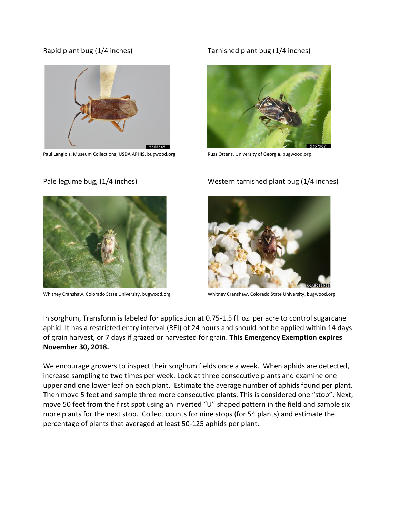

Paul Langlois, Museum Collections, USDA APHIS, bugwood.org Russ Ottens, University of Georgia, bugwood.org

## Rapid plant bug (1/4 inches) Tarnished plant bug (1/4 inches)





Whitney Cranshaw, Colorado State University, bugwood.org Whitney Cranshaw, Colorado State University, bugwood.org

# Pale legume bug, (1/4 inches) Western tarnished plant bug (1/4 inches)



In sorghum, Transform is labeled for application at 0.75-1.5 fl. oz. per acre to control sugarcane aphid. It has a restricted entry interval (REI) of 24 hours and should not be applied within 14 days of grain harvest, or 7 days if grazed or harvested for grain. **This Emergency Exemption expires November 30, 2018.** 

We encourage growers to inspect their sorghum fields once a week. When aphids are detected, increase sampling to two times per week. Look at three consecutive plants and examine one upper and one lower leaf on each plant. Estimate the average number of aphids found per plant. Then move 5 feet and sample three more consecutive plants. This is considered one "stop". Next, move 50 feet from the first spot using an inverted "U" shaped pattern in the field and sample six more plants for the next stop. Collect counts for nine stops (for 54 plants) and estimate the percentage of plants that averaged at least 50-125 aphids per plant.